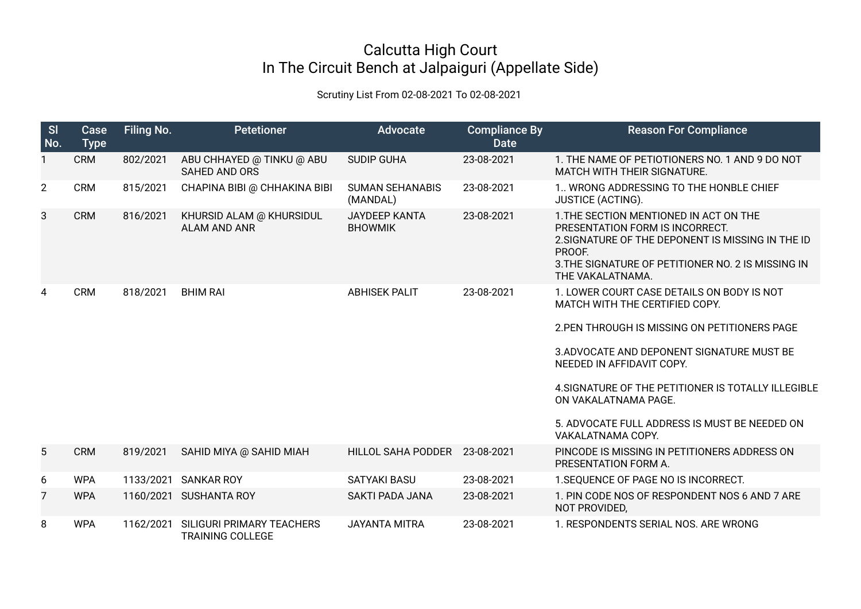## Calcutta High Court In The Circuit Bench at Jalpaiguri (Appellate Side)

## Scrutiny List From 02-08-2021 To 02-08-2021

| SI<br>No.      | <b>Case</b><br><b>Type</b> | <b>Filing No.</b> | <b>Petetioner</b>                                    | Advocate                               | <b>Compliance By</b><br><b>Date</b> | <b>Reason For Compliance</b>                                                                                                                                                                                       |
|----------------|----------------------------|-------------------|------------------------------------------------------|----------------------------------------|-------------------------------------|--------------------------------------------------------------------------------------------------------------------------------------------------------------------------------------------------------------------|
| $\mathbf{1}$   | <b>CRM</b>                 | 802/2021          | ABU CHHAYED @ TINKU @ ABU<br><b>SAHED AND ORS</b>    | <b>SUDIP GUHA</b>                      | 23-08-2021                          | 1. THE NAME OF PETIOTIONERS NO. 1 AND 9 DO NOT<br>MATCH WITH THEIR SIGNATURE.                                                                                                                                      |
| $\overline{2}$ | <b>CRM</b>                 | 815/2021          | CHAPINA BIBI @ CHHAKINA BIBI                         | <b>SUMAN SEHANABIS</b><br>(MANDAL)     | 23-08-2021                          | 1. WRONG ADDRESSING TO THE HONBLE CHIEF<br><b>JUSTICE (ACTING).</b>                                                                                                                                                |
| 3              | <b>CRM</b>                 | 816/2021          | KHURSID ALAM @ KHURSIDUL<br><b>ALAM AND ANR</b>      | <b>JAYDEEP KANTA</b><br><b>BHOWMIK</b> | 23-08-2021                          | 1. THE SECTION MENTIONED IN ACT ON THE<br>PRESENTATION FORM IS INCORRECT.<br>2. SIGNATURE OF THE DEPONENT IS MISSING IN THE ID<br>PROOF.<br>3. THE SIGNATURE OF PETITIONER NO. 2 IS MISSING IN<br>THE VAKALATNAMA. |
| 4              | <b>CRM</b>                 | 818/2021          | <b>BHIM RAI</b>                                      | <b>ABHISEK PALIT</b>                   | 23-08-2021                          | 1. LOWER COURT CASE DETAILS ON BODY IS NOT<br>MATCH WITH THE CERTIFIED COPY.                                                                                                                                       |
|                |                            |                   |                                                      |                                        |                                     | 2. PEN THROUGH IS MISSING ON PETITIONERS PAGE                                                                                                                                                                      |
|                |                            |                   |                                                      |                                        |                                     | 3. ADVOCATE AND DEPONENT SIGNATURE MUST BE<br>NEEDED IN AFFIDAVIT COPY.                                                                                                                                            |
|                |                            |                   |                                                      |                                        |                                     | 4. SIGNATURE OF THE PETITIONER IS TOTALLY ILLEGIBLE<br>ON VAKALATNAMA PAGE.                                                                                                                                        |
|                |                            |                   |                                                      |                                        |                                     | 5. ADVOCATE FULL ADDRESS IS MUST BE NEEDED ON<br>VAKALATNAMA COPY.                                                                                                                                                 |
| 5              | <b>CRM</b>                 | 819/2021          | SAHID MIYA @ SAHID MIAH                              | HILLOL SAHA PODDER                     | 23-08-2021                          | PINCODE IS MISSING IN PETITIONERS ADDRESS ON<br>PRESENTATION FORM A.                                                                                                                                               |
| 6              | <b>WPA</b>                 | 1133/2021         | <b>SANKAR ROY</b>                                    | <b>SATYAKI BASU</b>                    | 23-08-2021                          | 1. SEQUENCE OF PAGE NO IS INCORRECT.                                                                                                                                                                               |
| 7              | <b>WPA</b>                 | 1160/2021         | <b>SUSHANTA ROY</b>                                  | <b>SAKTI PADA JANA</b>                 | 23-08-2021                          | 1. PIN CODE NOS OF RESPONDENT NOS 6 AND 7 ARE<br>NOT PROVIDED,                                                                                                                                                     |
| 8              | <b>WPA</b>                 | 1162/2021         | SILIGURI PRIMARY TEACHERS<br><b>TRAINING COLLEGE</b> | <b>JAYANTA MITRA</b>                   | 23-08-2021                          | 1. RESPONDENTS SERIAL NOS. ARE WRONG                                                                                                                                                                               |